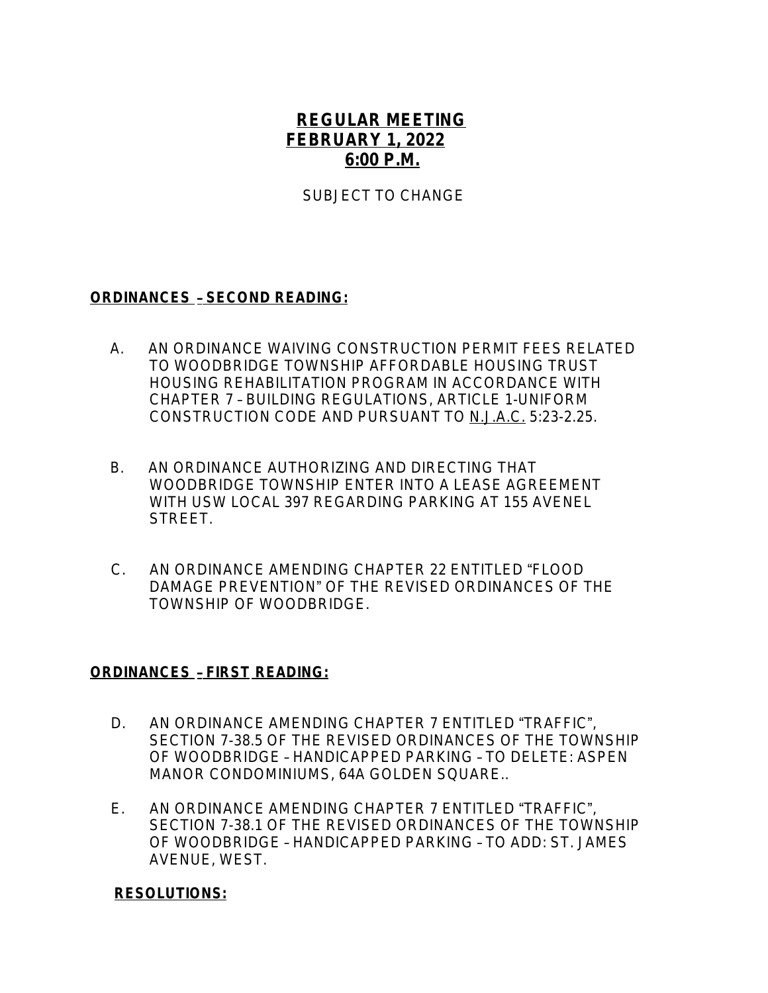## **REGULAR MEETING FEBRUARY 1, 2022 6:00 P.M.**

SUBJECT TO CHANGE

## **ORDINANCES** – **SECOND READING:**

- A.AN ORDINANCE WAIVING CONSTRUCTION PERMIT FEES RELATED TO WOODBRIDGE TOWNSHIP AFFORDABLE HOUSING TRUST HOUSING REHABILITATION PROGRAM IN ACCORDANCE WITH CHAPTER 7 – BUILDING REGULATIONS, ARTICLE 1-UNIFORM CONSTRUCTION CODE AND PURSUANT TO N.J.A.C. 5:23-2.25.
- B. AN ORDINANCE AUTHORIZING AND DIRECTING THAT WOODBRIDGE TOWNSHIP ENTER INTO A LEASE AGREEMENT WITH USW LOCAL 397 REGARDING PARKING AT 155 AVENEL STREET.
- C. AN ORDINANCE AMENDING CHAPTER 22 ENTITLED "FLOOD DAMAGE PREVENTION" OF THE REVISED ORDINANCES OF THE TOWNSHIP OF WOODBRIDGE.

## **ORDINANCES** – **FIRST READING:**

- D.AN ORDINANCE AMENDING CHAPTER 7 ENTITLED "TRAFFIC", SECTION 7-38.5 OF THE REVISED ORDINANCES OF THE TOWNSHIP OF WOODBRIDGE – HANDICAPPED PARKING – TO DELETE: ASPEN MANOR CONDOMINIUMS, 64A GOLDEN SQUARE..
- E. AN ORDINANCE AMENDING CHAPTER 7 ENTITLED "TRAFFIC", SECTION 7-38.1 OF THE REVISED ORDINANCES OF THE TOWNSHIP OF WOODBRIDGE – HANDICAPPED PARKING – TO ADD: ST. JAMES AVENUE, WEST.

## **RESOLUTIONS:**